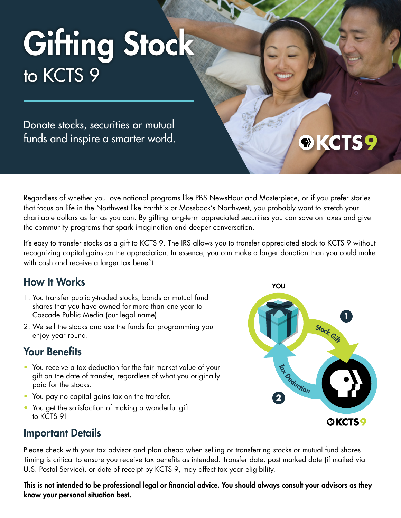# Gifting Stock to KCTS 9

Donate stocks, securities or mutual funds and inspire a smarter world.

Regardless of whether you love national programs like PBS NewsHour and Masterpiece, or if you prefer stories that focus on life in the Northwest like EarthFix or Mossback's Northwest, you probably want to stretch your charitable dollars as far as you can. By gifting long-term appreciated securities you can save on taxes and give the community programs that spark imagination and deeper conversation.

It's easy to transfer stocks as a gift to KCTS 9. The IRS allows you to transfer appreciated stock to KCTS 9 without recognizing capital gains on the appreciation. In essence, you can make a larger donation than you could make with cash and receive a larger tax benefit.

### How It Works

- 1. You transfer publicly-traded stocks, bonds or mutual fund shares that you have owned for more than one year to Cascade Public Media (our legal name).
- 2. We sell the stocks and use the funds for programming you enjoy year round.

### Your Benefits

- You receive a tax deduction for the fair market value of your gift on the date of transfer, regardless of what you originally paid for the stocks.
- You pay no capital gains tax on the transfer.
- You get the satisfaction of making a wonderful gift to KCTS 9!



### Important Details

Please check with your tax advisor and plan ahead when selling or transferring stocks or mutual fund shares. Timing is critical to ensure you receive tax benefits as intended. Transfer date, post marked date (if mailed via U.S. Postal Service), or date of receipt by KCTS 9, may affect tax year eligibility.

This is not intended to be professional legal or financial advice. You should always consult your advisors as they know your personal situation best.

### ®KCTS9